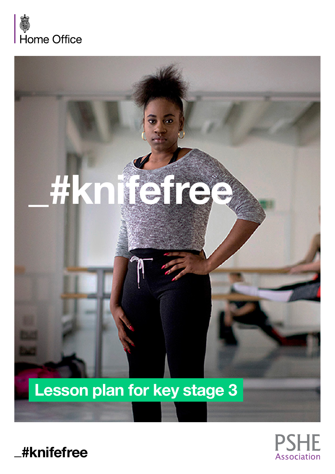





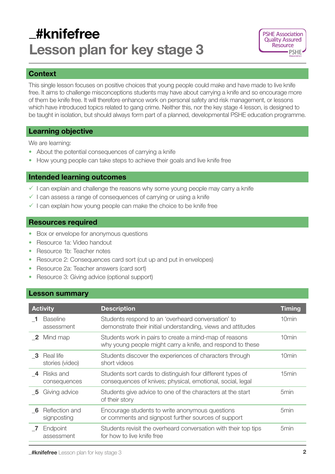# \_#knifefree Lesson plan for key stage 3



# **Context**

This single lesson focuses on positive choices that young people could make and have made to live knife free. It aims to challenge misconceptions students may have about carrying a knife and so encourage more of them be knife free. It will therefore enhance work on personal safety and risk management, or lessons which have introduced topics related to gang crime. Neither this, nor the key stage 4 lesson, is designed to be taught in isolation, but should always form part of a planned, developmental PSHE education programme.

# Learning objective

We are learning:

- About the potential consequences of carrying a knife
- How young people can take steps to achieve their goals and live knife free

# Intended learning outcomes

- $\checkmark$  I can explain and challenge the reasons why some young people may carry a knife
- $\checkmark$  I can assess a range of consequences of carrying or using a knife
- $\checkmark$  I can explain how young people can make the choice to be knife free

### Resources required

- Box or envelope for anonymous questions
- Resource 1a: Video handout
- Resource 1b: Teacher notes
- Resource 2: Consequences card sort (cut up and put in envelopes)
- Resource 2a: Teacher answers (card sort)
- Resource 3: Giving advice (optional support)

# Lesson summary

| <b>Activity</b> |                               | <b>Description</b>                                                                                                       | <b>Timing</b>     |
|-----------------|-------------------------------|--------------------------------------------------------------------------------------------------------------------------|-------------------|
|                 | <b>Baseline</b><br>assessment | Students respond to an 'overheard conversation' to<br>demonstrate their initial understanding, views and attitudes       | 10min             |
| $\mathbf{2}$    | Mind map                      | Students work in pairs to create a mind-map of reasons<br>why young people might carry a knife, and respond to these     | 10 <sub>min</sub> |
| -3              | Real life<br>stories (video)  | Students discover the experiences of characters through<br>short videos                                                  | 10min             |
| -4              | Risks and<br>consequences     | Students sort cards to distinguish four different types of<br>consequences of knives; physical, emotional, social, legal | 15min             |
| - 5             | Giving advice                 | Students give advice to one of the characters at the start<br>of their story                                             | 5 <sub>min</sub>  |
| - 6             | Reflection and<br>signposting | Encourage students to write anonymous questions<br>or comments and signpost further sources of support                   | 5 <sub>min</sub>  |
|                 | Endpoint<br>assessment        | Students revisit the overheard conversation with their top tips<br>for how to live knife free                            | 5 <sub>min</sub>  |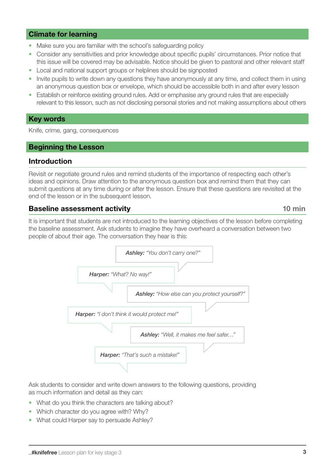# Climate for learning

- Make sure you are familiar with the school's safeguarding policy
- Consider any sensitivities and prior knowledge about specific pupils' circumstances. Prior notice that this issue will be covered may be advisable. Notice should be given to pastoral and other relevant staff
- Local and national support groups or helplines should be signposted
- Invite pupils to write down any questions they have anonymously at any time, and collect them in using an anonymous question box or envelope, which should be accessible both in and after every lesson
- Establish or reinforce existing ground rules. Add or emphasise any ground rules that are especially relevant to this lesson, such as not disclosing personal stories and not making assumptions about others

#### Key words

Knife, crime, gang, consequences

### Beginning the Lesson

### Introduction

Revisit or negotiate ground rules and remind students of the importance of respecting each other's ideas and opinions. Draw attention to the anonymous question box and remind them that they can submit questions at any time during or after the lesson. Ensure that these questions are revisited at the end of the lesson or in the subsequent lesson.

# Baseline assessment activity and the control of the 10 min

It is important that students are not introduced to the learning objectives of the lesson before completing the baseline assessment. Ask students to imagine they have overheard a conversation between two people of about their age. The conversation they hear is this:



Ask students to consider and write down answers to the following questions, providing as much information and detail as they can:

- What do you think the characters are talking about?
- Which character do you agree with? Why?
- What could Harper say to persuade Ashley?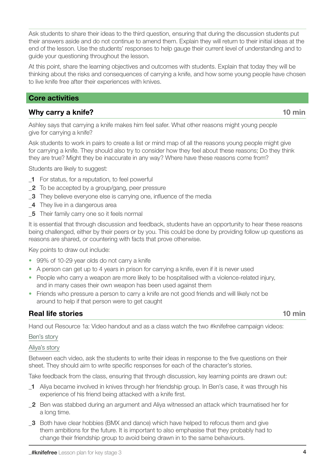Ask students to share their ideas to the third question, ensuring that during the discussion students put their answers aside and do not continue to amend them. Explain they will return to their initial ideas at the end of the lesson. Use the students' responses to help gauge their current level of understanding and to guide your questioning throughout the lesson.

At this point, share the learning objectives and outcomes with students. Explain that today they will be thinking about the risks and consequences of carrying a knife, and how some young people have chosen to live knife free after their experiences with knives.

# Core activities

# Why carry a knife? 10 min

Ashley says that carrying a knife makes him feel safer. What other reasons might young people give for carrying a knife?

Ask students to work in pairs to create a list or mind map of all the reasons young people might give for carrying a knife. They should also try to consider how they feel about these reasons; Do they think they are true? Might they be inaccurate in any way? Where have these reasons come from?

Students are likely to suggest:

- 1 For status, for a reputation, to feel powerful
- \_2 To be accepted by a group/gang, peer pressure
- \_3 They believe everyone else is carrying one, influence of the media
- 4 They live in a dangerous area
- 5 Their family carry one so it feels normal

It is essential that through discussion and feedback, students have an opportunity to hear these reasons being challenged, either by their peers or by you. This could be done by providing follow up questions as reasons are shared, or countering with facts that prove otherwise.

Key points to draw out include:

- 99% of 10-29 year olds do not carry a knife
- A person can get up to 4 years in prison for carrying a knife, even if it is never used
- People who carry a weapon are more likely to be hospitalised with a violence-related injury, and in many cases their own weapon has been used against them
- Friends who pressure a person to carry a knife are not good friends and will likely not be around to help if that person were to get caught

# **Real life stories 10 minutes 10 minutes 10 minutes and 20 minutes 10 minutes and 20 minutes and 20 minutes and 20 minutes and 20 minutes and 20 minutes and 20 minutes and 20 minutes and 20 minutes and 20 minutes and 20 mi**

Hand out Resource 1a: Video handout and as a class watch the two #knifefree campaign videos:

#### [Ben's story](https://www.knifefree.co.uk/story/_ben/?utm_source=Knifefree%20teacher%20pack&utm_campaign=%23knifefree&utm_content=knife)

#### [Aliya's story](https://www.knifefree.co.uk/story/_aliya/?utm_source=Knifefree%20teacher%20pack&utm_campaign=%23knifefree&utm_content=Aliya%20video)

Between each video, ask the students to write their ideas in response to the five questions on their sheet. They should aim to write specific responses for each of the character's stories.

Take feedback from the class, ensuring that through discussion, key learning points are drawn out:

- 1 Aliya became involved in knives through her friendship group. In Ben's case, it was through his experience of his friend being attacked with a knife first.
- 2 Ben was stabbed during an argument and Aliya witnessed an attack which traumatised her for a long time.
- **3** Both have clear hobbies (BMX and dance) which have helped to refocus them and give them ambitions for the future. It is important to also emphasise that they probably had to change their friendship group to avoid being drawn in to the same behaviours.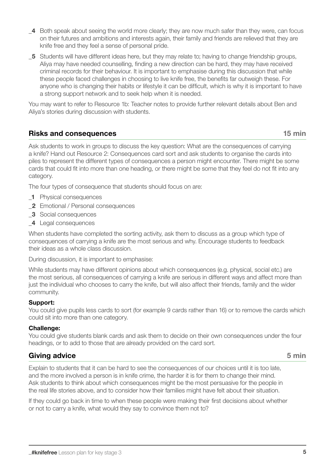- The four types of consequence that students should focus on are:
	- 1 Physical consequences
	- 2 Emotional / Personal consequences
	- **3** Social consequences
	- \_4 Legal consequences

When students have completed the sorting activity, ask them to discuss as a group which type of consequences of carrying a knife are the most serious and why. Encourage students to feedback their ideas as a whole class discussion.

During discussion, it is important to emphasise:

While students may have different opinions about which consequences (e.g. physical, social etc.) are the most serious, all consequences of carrying a knife are serious in different ways and affect more than just the individual who chooses to carry the knife, but will also affect their friends, family and the wider community.

#### Support:

category.

You could give pupils less cards to sort (for example 9 cards rather than 16) or to remove the cards which could sit into more than one category.

#### Challenge:

You could give students blank cards and ask them to decide on their own consequences under the four headings, or to add to those that are already provided on the card sort.

### Giving advice 5 min

Explain to students that it can be hard to see the consequences of our choices until it is too late, and the more involved a person is in knife crime, the harder it is for them to change their mind. Ask students to think about which consequences might be the most persuasive for the people in the real life stories above, and to consider how their families might have felt about their situation.

If they could go back in time to when these people were making their first decisions about whether or not to carry a knife, what would they say to convince them not to?

- 4 Both speak about seeing the world more clearly; they are now much safer than they were, can focus on their futures and ambitions and interests again, their family and friends are relieved that they are knife free and they feel a sense of personal pride.
- 5 Students will have different ideas here, but they may relate to; having to change friendship groups, Aliya may have needed counselling, finding a new direction can be hard, they may have received criminal records for their behaviour. It is important to emphasise during this discussion that while these people faced challenges in choosing to live knife free, the benefits far outweigh these. For anyone who is changing their habits or lifestyle it can be difficult, which is why it is important to have a strong support network and to seek help when it is needed.

You may want to refer to Resource 1b: Teacher notes to provide further relevant details about Ben and Aliya's stories during discussion with students.

Ask students to work in groups to discuss the key question: What are the consequences of carrying a knife? Hand out Resource 2: Consequences card sort and ask students to organise the cards into piles to represent the different types of consequences a person might encounter. There might be some cards that could fit into more than one heading, or there might be some that they feel do not fit into any

### Risks and consequences **15 min**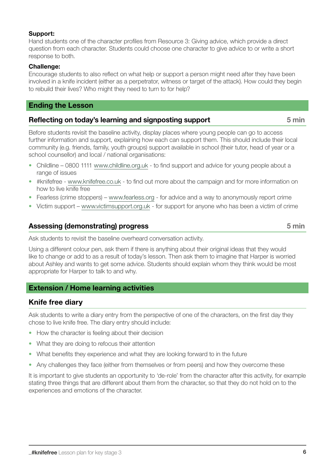#### Support:

Hand students one of the character profiles from Resource 3: Giving advice, which provide a direct question from each character. Students could choose one character to give advice to or write a short response to both.

#### Challenge:

Encourage students to also reflect on what help or support a person might need after they have been involved in a knife incident (either as a perpetrator, witness or target of the attack). How could they begin to rebuild their lives? Who might they need to turn to for help?

### Ending the Lesson

# Reflecting on today's learning and signposting support 5 min

Before students revisit the baseline activity, display places where young people can go to access further information and support, explaining how each can support them. This should include their local community (e.g. friends, family, youth groups) support available in school (their tutor, head of year or a school counsellor) and local / national organisations:

- Childline 0800 1111 [www.childline.org.uk](http://www.childline.org.uk) to find support and advice for young people about a range of issues
- #knifefree [www.knifefree.co.uk](http://www.knifefree.co.uk) to find out more about the campaign and for more information on how to live knife free
- Fearless (crime stoppers) – [www.fearless.org](http://www.fearless.org) for advice and a way to anonymously report crime
- Victim support [www.victimsupport.org.uk](http://www.victimsupport.org.uk)  for support for anyone who has been a victim of crime

# Assessing (demonstrating) progress 6 minutes 6 minutes 5 minutes 5 minutes 6 minutes 6 minutes 6 minutes 6 minutes 6 minutes 6 minutes 6 minutes 6 minutes 6 minutes 6 minutes 6 minutes 6 minutes 6 minutes 6 minutes 6 minut

Ask students to revisit the baseline overheard conversation activity.

Using a different colour pen, ask them if there is anything about their original ideas that they would like to change or add to as a result of today's lesson. Then ask them to imagine that Harper is worried about Ashley and wants to get some advice. Students should explain whom they think would be most appropriate for Harper to talk to and why.

# Extension / Home learning activities

# Knife free diary

Ask students to write a diary entry from the perspective of one of the characters, on the first day they chose to live knife free. The diary entry should include:

- How the character is feeling about their decision
- What they are doing to refocus their attention
- What benefits they experience and what they are looking forward to in the future
- Any challenges they face (either from themselves or from peers) and how they overcome these

It is important to give students an opportunity to 'de-role' from the character after this activity, for example stating three things that are different about them from the character, so that they do not hold on to the experiences and emotions of the character.